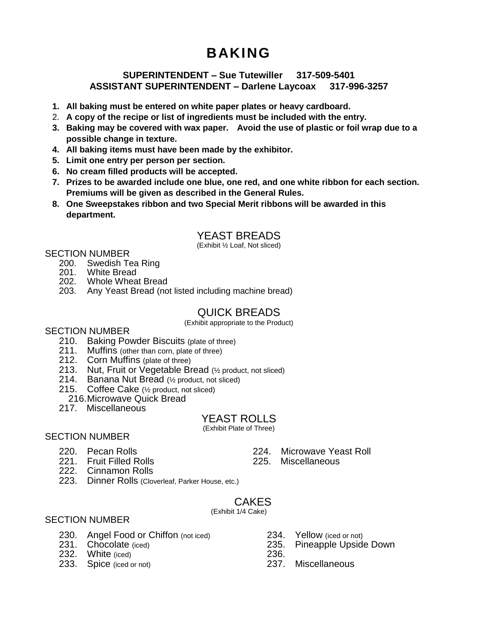# **BAKING**

### **SUPERINTENDENT – Sue Tutewiller 317-509-5401 ASSISTANT SUPERINTENDENT – Darlene Laycoax 317-996-3257**

- **1. All baking must be entered on white paper plates or heavy cardboard.**
- 2. **A copy of the recipe or list of ingredients must be included with the entry.**
- **3. Baking may be covered with wax paper. Avoid the use of plastic or foil wrap due to a possible change in texture.**
- **4. All baking items must have been made by the exhibitor.**
- **5. Limit one entry per person per section.**
- **6. No cream filled products will be accepted.**
- **7. Prizes to be awarded include one blue, one red, and one white ribbon for each section. Premiums will be given as described in the General Rules.**
- **8. One Sweepstakes ribbon and two Special Merit ribbons will be awarded in this department.**

# YEAST BREADS

(Exhibit ½ Loaf, Not sliced)

### SECTION NUMBER

- 200. Swedish Tea Ring
- 201. White Bread
- 202. Whole Wheat Bread
- 203. Any Yeast Bread (not listed including machine bread)

# QUICK BREADS

(Exhibit appropriate to the Product)

### SECTION NUMBER

- 210. Baking Powder Biscuits (plate of three)
- 211. Muffins (other than corn, plate of three)
- 212. Corn Muffins (plate of three)
- 213. Nut, Fruit or Vegetable Bread (½ product, not sliced)
- 214. Banana Nut Bread (½ product, not sliced)
- 215. Coffee Cake (½ product, not sliced)
- 216.Microwave Quick Bread
- 217. Miscellaneous

## YEAST ROLLS

(Exhibit Plate of Three)

## SECTION NUMBER

- 220. Pecan Rolls
- 221. Fruit Filled Rolls
- 222. Cinnamon Rolls
- 
- 223. Dinner Rolls (Cloverleaf, Parker House, etc.)

#### **CAKES** (Exhibit 1/4 Cake)

### SECTION NUMBER

230. Angel Food or Chiffon (not iced)

231. Chocolate (iced)

- 232. White (iced)
- 233. Spice (iced or not)
- 234. Yellow (iced or not)
- 235. Pineapple Upside Down
- 236.<br>237. **Miscellaneous**
- 224. Microwave Yeast Roll
- 225. Miscellaneous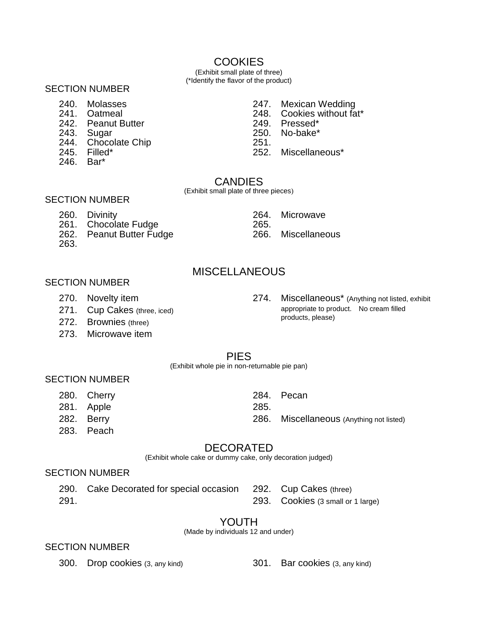# **COOKIES**

(Exhibit small plate of three) (\*Identify the flavor of the product)

### SECTION NUMBER

- 240. Molasses
- 241. Oatmeal
- 242. Peanut Butter
- 243. Sugar
- 244. Chocolate Chip
- 245. Filled\*
- 246. Bar\*
- 247. Mexican Wedding
- 248. Cookies without fat\*
- 249. Pressed\*<br>250. No-bake\*
- No-bake\*
- 251.
- 252. Miscellaneous\*

### **CANDIES**

(Exhibit small plate of three pieces)

### SECTION NUMBER

- 260. Divinity
- 261. Chocolate Fudge
- 262. Peanut Butter Fudge
- 263.

264. Microwave 265.<br>266. **Miscellaneous** 

# **MISCELLANEOUS**

### SECTION NUMBER

- 270. Novelty item
- 271. Cup Cakes (three, iced)
- 272. Brownies (three)
- 273. Microwave item

274. Miscellaneous\* (Anything not listed, exhibit appropriate to product. No cream filled products, please)

### PIES

(Exhibit whole pie in non-returnable pie pan)

### SECTION NUMBER

- 280. Cherry
- 281. Apple
- 282. Berry
- 283. Peach

## DECORATED

(Exhibit whole cake or dummy cake, only decoration judged)

### SECTION NUMBER

290. Cake Decorated for special occasion 291.

292. Cup Cakes (three) 293. Cookies (3 small or 1 large)

# YOUTH

(Made by individuals 12 and under)

### SECTION NUMBER

300. Drop cookies (3, any kind) 301. Bar cookies (3, any kind)

- 
- 
- 284. Pecan 285.
	- 286. Miscellaneous (Anything not listed)
-